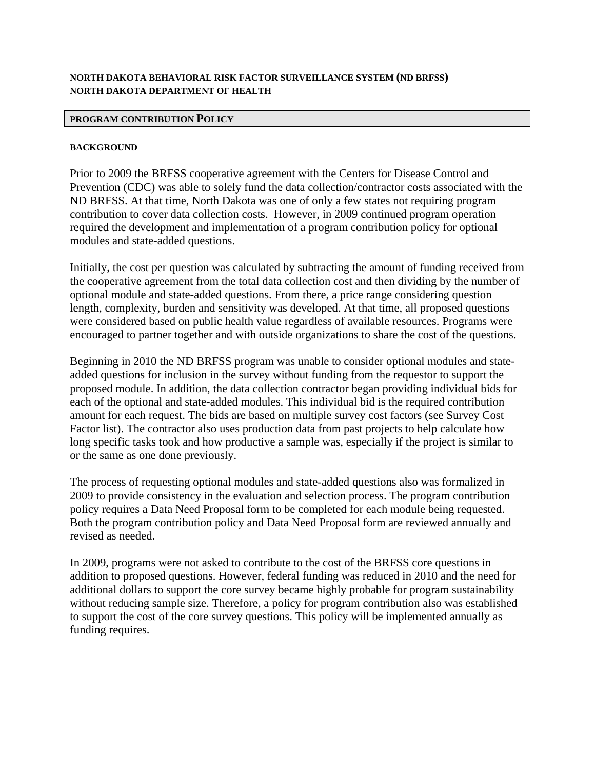### **NORTH DAKOTA BEHAVIORAL RISK FACTOR SURVEILLANCE SYSTEM (ND BRFSS) NORTH DAKOTA DEPARTMENT OF HEALTH**

#### **PROGRAM CONTRIBUTION POLICY**

#### **BACKGROUND**

Prior to 2009 the BRFSS cooperative agreement with the Centers for Disease Control and Prevention (CDC) was able to solely fund the data collection/contractor costs associated with the ND BRFSS. At that time, North Dakota was one of only a few states not requiring program contribution to cover data collection costs. However, in 2009 continued program operation required the development and implementation of a program contribution policy for optional modules and state-added questions.

Initially, the cost per question was calculated by subtracting the amount of funding received from the cooperative agreement from the total data collection cost and then dividing by the number of optional module and state-added questions. From there, a price range considering question length, complexity, burden and sensitivity was developed. At that time, all proposed questions were considered based on public health value regardless of available resources. Programs were encouraged to partner together and with outside organizations to share the cost of the questions.

Beginning in 2010 the ND BRFSS program was unable to consider optional modules and stateadded questions for inclusion in the survey without funding from the requestor to support the proposed module. In addition, the data collection contractor began providing individual bids for each of the optional and state-added modules. This individual bid is the required contribution amount for each request. The bids are based on multiple survey cost factors (see Survey Cost Factor list). The contractor also uses production data from past projects to help calculate how long specific tasks took and how productive a sample was, especially if the project is similar to or the same as one done previously.

The process of requesting optional modules and state-added questions also was formalized in 2009 to provide consistency in the evaluation and selection process. The program contribution policy requires a Data Need Proposal form to be completed for each module being requested. Both the program contribution policy and Data Need Proposal form are reviewed annually and revised as needed.

In 2009, programs were not asked to contribute to the cost of the BRFSS core questions in addition to proposed questions. However, federal funding was reduced in 2010 and the need for additional dollars to support the core survey became highly probable for program sustainability without reducing sample size. Therefore, a policy for program contribution also was established to support the cost of the core survey questions. This policy will be implemented annually as funding requires.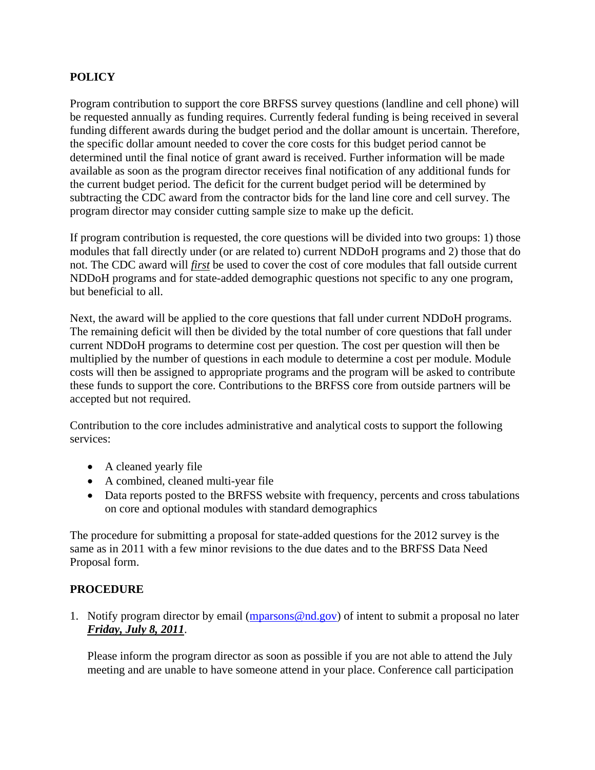# **POLICY**

Program contribution to support the core BRFSS survey questions (landline and cell phone) will be requested annually as funding requires. Currently federal funding is being received in several funding different awards during the budget period and the dollar amount is uncertain. Therefore, the specific dollar amount needed to cover the core costs for this budget period cannot be determined until the final notice of grant award is received. Further information will be made available as soon as the program director receives final notification of any additional funds for the current budget period. The deficit for the current budget period will be determined by subtracting the CDC award from the contractor bids for the land line core and cell survey. The program director may consider cutting sample size to make up the deficit.

If program contribution is requested, the core questions will be divided into two groups: 1) those modules that fall directly under (or are related to) current NDDoH programs and 2) those that do not. The CDC award will *first* be used to cover the cost of core modules that fall outside current NDDoH programs and for state-added demographic questions not specific to any one program, but beneficial to all.

Next, the award will be applied to the core questions that fall under current NDDoH programs. The remaining deficit will then be divided by the total number of core questions that fall under current NDDoH programs to determine cost per question. The cost per question will then be multiplied by the number of questions in each module to determine a cost per module. Module costs will then be assigned to appropriate programs and the program will be asked to contribute these funds to support the core. Contributions to the BRFSS core from outside partners will be accepted but not required.

Contribution to the core includes administrative and analytical costs to support the following services:

- A cleaned yearly file
- A combined, cleaned multi-year file
- Data reports posted to the BRFSS website with frequency, percents and cross tabulations on core and optional modules with standard demographics

The procedure for submitting a proposal for state-added questions for the 2012 survey is the same as in 2011 with a few minor revisions to the due dates and to the BRFSS Data Need Proposal form.

## **PROCEDURE**

1. Notify program director by email (mparsons@nd.gov) of intent to submit a proposal no later *Friday, July 8, 2011*.

Please inform the program director as soon as possible if you are not able to attend the July meeting and are unable to have someone attend in your place. Conference call participation